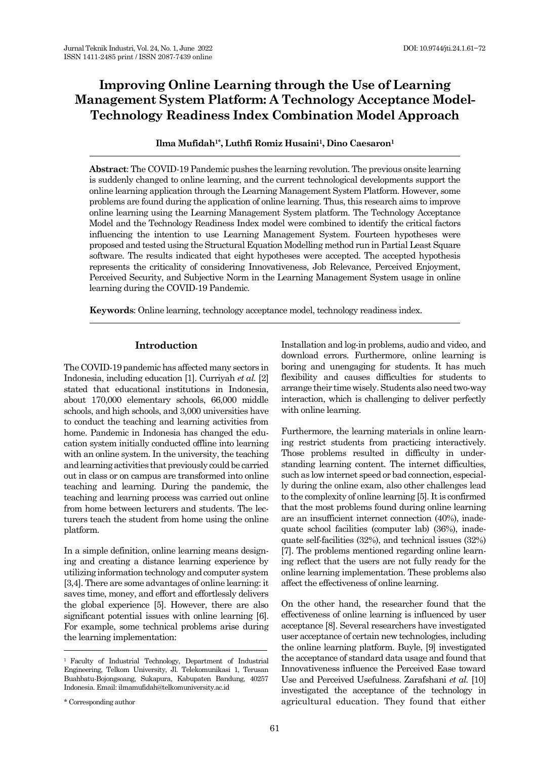# **Improving Online Learning through the Use of Learning Management System Platform: A Technology Acceptance Model-Technology Readiness Index Combination Model Approach**

# **Ilma Mufidah1\* , Luthfi Romiz Husaini1, Dino Caesaron<sup>1</sup>**

**Abstract**: The COVID-19 Pandemic pushes the learning revolution. The previous onsite learning is suddenly changed to online learning, and the current technological developments support the online learning application through the Learning Management System Platform. However, some problems are found during the application of online learning. Thus, this research aims to improve online learning using the Learning Management System platform. The Technology Acceptance Model and the Technology Readiness Index model were combined to identify the critical factors influencing the intention to use Learning Management System. Fourteen hypotheses were proposed and tested using the Structural Equation Modelling method run in Partial Least Square software. The results indicated that eight hypotheses were accepted. The accepted hypothesis represents the criticality of considering Innovativeness, Job Relevance, Perceived Enjoyment, Perceived Security, and Subjective Norm in the Learning Management System usage in online learning during the COVID-19 Pandemic.

**Keywords**: Online learning, technology acceptance model, technology readiness index.

# **Introduction**

The COVID-19 pandemic has affected many sectors in Indonesia, including education [1]. Curriyah *et al.* [\[2\]](#page-8-0) stated that educational institutions in Indonesia, about 170,000 elementary schools, 66,000 middle schools, and high schools, and 3,000 universities have to conduct the teaching and learning activities from home. Pandemic in Indonesia has changed the education system initially conducted offline into learning with an online system. In the university, the teaching and learning activities that previously could be carried out in class or on campus are transformed into online teaching and learning. During the pandemic, the teaching and learning process was carried out online from home between lecturers and students. The lecturers teach the student from home using the online platform.

In a simple definition, online learning means designing and creating a distance learning experience by utilizing information technology and computer system [\[3](#page-8-1)[,4\]](#page-8-2). There are some advantages of online learning: it saves time, money, and effort and effortlessly delivers the global experience [\[5\]](#page-8-3). However, there are also significant potential issues with online learning [\[6\]](#page-8-4). For example, some technical problems arise during the learning implementation:

Installation and log-in problems, audio and video, and download errors. Furthermore, online learning is boring and unengaging for students. It has much flexibility and causes difficulties for students to arrange their time wisely. Students also need two-way interaction, which is challenging to deliver perfectly with online learning.

Furthermore, the learning materials in online learning restrict students from practicing interactively. Those problems resulted in difficulty in understanding learning content. The internet difficulties, such as low internet speed or bad connection, especially during the online exam, also other challenges lead to the complexity of online learning [5]. It is confirmed that the most problems found during online learning are an insufficient internet connection (40%), inadequate school facilities (computer lab) (36%), inadequate self-facilities (32%), and technical issues (32%) [\[7\]](#page-8-5). The problems mentioned regarding online learning reflect that the users are not fully ready for the online learning implementation. These problems also affect the effectiveness of online learning.

On the other hand, the researcher found that the effectiveness of online learning is influenced by user acceptance [\[8\]](#page-8-6). Several researchers have investigated user acceptance of certain new technologies, including the online learning platform. Buyle, [\[9\]](#page-8-7) investigated the acceptance of standard data usage and found that Innovativeness influence the Perceived Ease toward Use and Perceived Usefulness. Zarafshani *et al.* [\[10\]](#page-8-8) investigated the acceptance of the technology in agricultural education. They found that either

<sup>1</sup> Faculty of Industrial Technology, Department of Industrial Engineering, Telkom University, Jl. Telekomunikasi 1, Terusan Buahbatu-Bojongsoang, Sukapura, Kabupaten Bandung, 40257 Indonesia. Email: ilmamufidah@telkomuniversity.ac.id

<sup>\*</sup> Corresponding author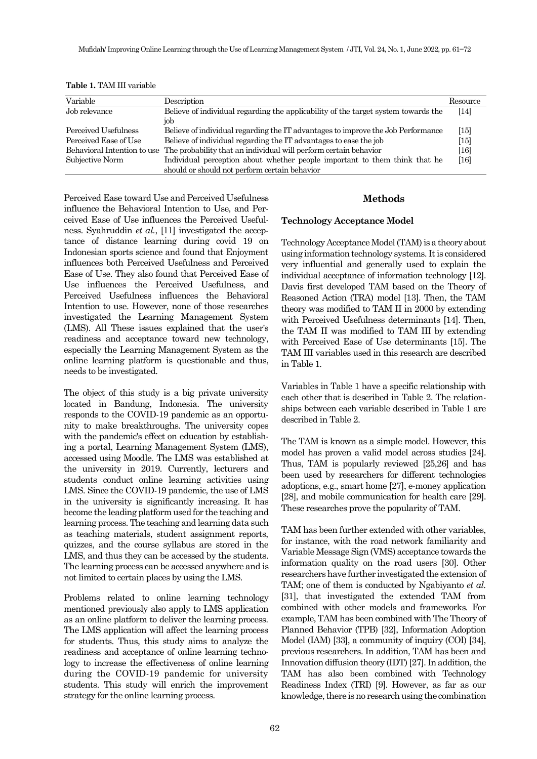| Variable                    | Description                                                                        | Resource           |
|-----------------------------|------------------------------------------------------------------------------------|--------------------|
| Job relevance               | Believe of individual regarding the applicability of the target system towards the | $\lceil 14 \rceil$ |
|                             | job                                                                                |                    |
| Perceived Usefulness        | Believe of individual regarding the IT advantages to improve the Job Performance   | [15]               |
| Perceived Ease of Use       | Believe of individual regarding the IT advantages to ease the job                  | $[15]$             |
| Behavioral Intention to use | The probability that an individual will perform certain behavior                   | $[16]$             |
| Subjective Norm             | Individual perception about whether people important to them think that he         | $[16]$             |
|                             | should or should not perform certain behavior                                      |                    |

**Table 1.** TAM III variable

Perceived Ease toward Use and Perceived Usefulness influence the Behavioral Intention to Use, and Perceived Ease of Use influences the Perceived Usefulness. Syahruddin *et al.*, [\[11\]](#page-8-9) investigated the acceptance of distance learning during covid 19 on Indonesian sports science and found that Enjoyment influences both Perceived Usefulness and Perceived Ease of Use. They also found that Perceived Ease of Use influences the Perceived Usefulness, and Perceived Usefulness influences the Behavioral Intention to use. However, none of those researches investigated the Learning Management System (LMS). All These issues explained that the user's readiness and acceptance toward new technology, especially the Learning Management System as the online learning platform is questionable and thus, needs to be investigated.

The object of this study is a big private university located in Bandung, Indonesia. The university responds to the COVID-19 pandemic as an opportunity to make breakthroughs. The university copes with the pandemic's effect on education by establishing a portal, Learning Management System (LMS), accessed using Moodle. The LMS was established at the university in 2019. Currently, lecturers and students conduct online learning activities using LMS. Since the COVID-19 pandemic, the use of LMS in the university is significantly increasing. It has become the leading platform used for the teaching and learning process. The teaching and learning data such as teaching materials, student assignment reports, quizzes, and the course syllabus are stored in the LMS, and thus they can be accessed by the students. The learning process can be accessed anywhere and is not limited to certain places by using the LMS.

Problems related to online learning technology mentioned previously also apply to LMS application as an online platform to deliver the learning process. The LMS application will affect the learning process for students. Thus, this study aims to analyze the readiness and acceptance of online learning technology to increase the effectiveness of online learning during the COVID-19 pandemic for university students. This study will enrich the improvement strategy for the online learning process.

# **Methods**

## **Technology Acceptance Model**

Technology Acceptance Model (TAM) is a theory about using information technology systems. It is considered very influential and generally used to explain the individual acceptance of information technology [\[12\]](#page-8-10). Davis first developed TAM based on the Theory of Reasoned Action (TRA) model [\[13\]](#page-8-11). Then, the TAM theory was modified to TAM II in 2000 by extending with Perceived Usefulness determinants [\[14\]](#page-8-12). Then, the TAM II was modified to TAM III by extending with Perceived Ease of Use determinants [\[15\]](#page-8-13). The TAM III variables used in this research are described in Table 1.

Variables in Table 1 have a specific relationship with each other that is described in Table 2. The relationships between each variable described in Table 1 are described in Table 2.

The TAM is known as a simple model. However, this model has proven a valid model across studies [\[24\]](#page-9-0). Thus, TAM is popularly reviewed [\[25](#page-9-1)[,26\]](#page-9-2) and has been used by researchers for different technologies adoptions, e.g., smart home [\[27\]](#page-9-3), e-money application [\[28\]](#page-9-4), and mobile communication for health care [\[29\]](#page-9-5). These researches prove the popularity of TAM.

TAM has been further extended with other variables, for instance, with the road network familiarity and Variable Message Sign (VMS) acceptance towards the information quality on the road users [\[30\]](#page-9-6). Other researchers have further investigated the extension of TAM; one of them is conducted by Ngabiyanto *et al.* [\[31\]](#page-9-7), that investigated the extended TAM from combined with other models and frameworks. For example, TAM has been combined with The Theory of Planned Behavior (TPB) [\[32\]](#page-9-8), Information Adoption Model (IAM) [\[33\]](#page-9-9), a community of inquiry (COI) [\[34\]](#page-9-10), previous researchers. In addition, TAM has been and Innovation diffusion theory (IDT) [\[27\]](#page-9-3). In addition, the TAM has also been combined with Technology Readiness Index (TRI) [\[9\]](#page-8-7). However, as far as our knowledge, there is no research using the combination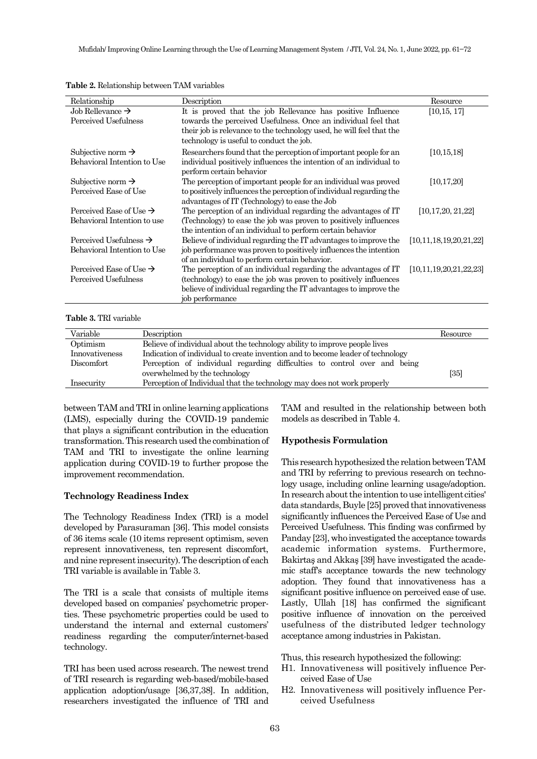| Relationship                        | Description                                                          | Resource                     |
|-------------------------------------|----------------------------------------------------------------------|------------------------------|
| Job Rellevance $\rightarrow$        | It is proved that the job Rellevance has positive Influence          | [10, 15, 17]                 |
| Perceived Usefulness                | towards the perceived Usefulness. Once an individual feel that       |                              |
|                                     | their job is relevance to the technology used, he will feel that the |                              |
|                                     | technology is useful to conduct the job.                             |                              |
| Subjective norm $\rightarrow$       | Researchers found that the perception of important people for an     | [10, 15, 18]                 |
| Behavioral Intention to Use         | individual positively influences the intention of an individual to   |                              |
|                                     | perform certain behavior                                             |                              |
| Subjective norm $\rightarrow$       | The perception of important people for an individual was proved      | [10, 17, 20]                 |
| Perceived Ease of Use               | to positively influences the perception of individual regarding the  |                              |
|                                     | advantages of IT (Technology) to ease the Job                        |                              |
| Perceived Ease of Use $\rightarrow$ | The perception of an individual regarding the advantages of IT       | [10, 17, 20, 21, 22]         |
| Behavioral Intention to use         | (Technology) to ease the job was proven to positively influences     |                              |
|                                     | the intention of an individual to perform certain behavior           |                              |
| Perceived Usefulness $\rightarrow$  | Believe of individual regarding the IT advantages to improve the     | [10, 11, 18, 19, 20, 21, 22] |
| Behavioral Intention to Use         | job performance was proven to positively influences the intention    |                              |
|                                     | of an individual to perform certain behavior.                        |                              |
| Perceived Ease of Use $\rightarrow$ | The perception of an individual regarding the advantages of IT       | [10, 11, 19, 20, 21, 22, 23] |
| Perceived Usefulness                | (technology) to ease the job was proven to positively influences     |                              |
|                                     | believe of individual regarding the IT advantages to improve the     |                              |
|                                     | job performance                                                      |                              |

**Table 2.** Relationship between TAM variables

**Table 3.** TRI variable

| Variable       | Description                                                                     | Resource |
|----------------|---------------------------------------------------------------------------------|----------|
| Optimism       | Believe of individual about the technology ability to improve people lives      |          |
| Innovativeness | Indication of individual to create invention and to become leader of technology |          |
| Discomfort     | Perception of individual regarding difficulties to control over and being       |          |
|                | overwhelmed by the technology                                                   | [35]     |
| Insecurity     | Perception of Individual that the technology may does not work properly         |          |

between TAM and TRI in online learning applications (LMS), especially during the COVID-19 pandemic that plays a significant contribution in the education transformation. This research used the combination of TAM and TRI to investigate the online learning application during COVID-19 to further propose the improvement recommendation.

#### **Technology Readiness Index**

The Technology Readiness Index (TRI) is a model developed by Parasuraman [\[36\]](#page-9-11). This model consists of 36 items scale (10 items represent optimism, seven represent innovativeness, ten represent discomfort, and nine represent insecurity). The description of each TRI variable is available in Table 3.

The TRI is a scale that consists of multiple items developed based on companies' psychometric properties. These psychometric properties could be used to understand the internal and external customers' readiness regarding the computer/internet-based technology.

TRI has been used across research. The newest trend of TRI research is regarding web-based/mobile-based application adoption/usage [\[36](#page-9-11)[,37](#page-9-12)[,38\]](#page-9-13). In addition, researchers investigated the influence of TRI and TAM and resulted in the relationship between both models as described in Table 4.

## **Hypothesis Formulation**

This research hypothesized the relation between TAM and TRI by referring to previous research on technology usage, including online learning usage/adoption. In research about the intention to use intelligent cities' data standards, Buyle [\[25\]](#page-9-1) proved that innovativeness significantly influences the Perceived Ease of Use and Perceived Usefulness. This finding was confirmed by Panday [\[23\]](#page-9-14), who investigated the acceptance towards academic information systems. Furthermore, Bakirtaş and Akkaş [\[39\]](#page-9-15) have investigated the academic staff's acceptance towards the new technology adoption. They found that innovativeness has a significant positive influence on perceived ease of use. Lastly, Ullah [\[18\]](#page-9-16) has confirmed the significant positive influence of innovation on the perceived usefulness of the distributed ledger technology acceptance among industries in Pakistan.

Thus, this research hypothesized the following:

- H1. Innovativeness will positively influence Perceived Ease of Use
- H2. Innovativeness will positively influence Perceived Usefulness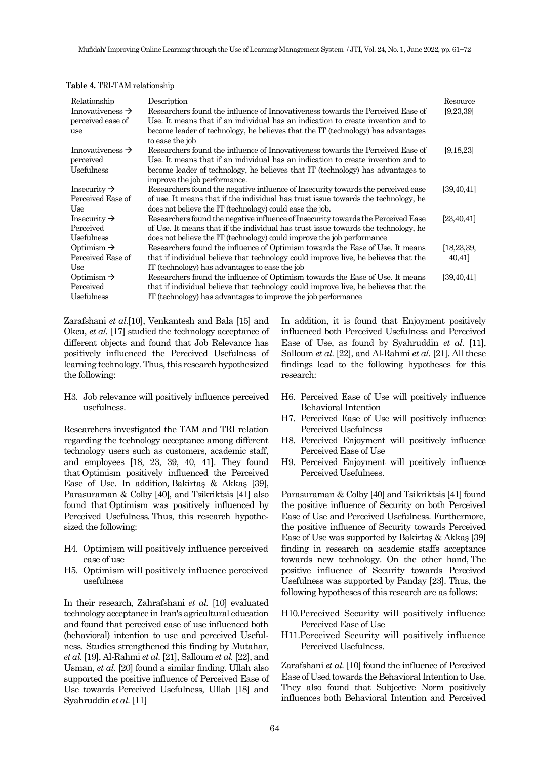| Relationship                 | Description                                                                         | Resource     |
|------------------------------|-------------------------------------------------------------------------------------|--------------|
| Innovativeness $\rightarrow$ | Researchers found the influence of Innovativeness towards the Perceived Ease of     | [9,23,39]    |
| perceived ease of            | Use. It means that if an individual has an indication to create invention and to    |              |
| use                          | become leader of technology, he believes that the IT (technology) has advantages    |              |
|                              | to ease the job                                                                     |              |
| Innovativeness $\rightarrow$ | Researchers found the influence of Innovativeness towards the Perceived Ease of     | [9, 18, 23]  |
| perceived                    | Use. It means that if an individual has an indication to create invention and to    |              |
| Usefulness                   | become leader of technology, he believes that IT (technology) has advantages to     |              |
|                              | improve the job performance.                                                        |              |
| Insecurity $\rightarrow$     | Researchers found the negative influence of Insecurity towards the perceived ease   | [39, 40, 41] |
| Perceived Ease of            | of use. It means that if the individual has trust issue towards the technology, he  |              |
| Use                          | does not believe the IT (technology) could ease the job.                            |              |
| Insecurity $\rightarrow$     | Researchers found the negative influence of Insecurity towards the Perceived Ease   | [23, 40, 41] |
| Perceived                    | of Use. It means that if the individual has trust issue towards the technology, he  |              |
| Usefulness                   | does not believe the IT (technology) could improve the job performance              |              |
| Optimism $\rightarrow$       | Researchers found the influence of Optimism towards the Ease of Use. It means       | [18, 23, 39, |
| Perceived Ease of            | that if individual believe that technology could improve live, he believes that the | 40,41]       |
| Use                          | IT (technology) has advantages to ease the job                                      |              |
| Optimism $\rightarrow$       | Researchers found the influence of Optimism towards the Ease of Use. It means       | [39, 40, 41] |
| Perceived                    | that if individual believe that technology could improve live, he believes that the |              |
| Usefulness                   | IT (technology) has advantages to improve the job performance                       |              |
|                              |                                                                                     |              |

**Table 4.** TRI-TAM relationship

Zarafshani *et al.*[\[10\]](#page-8-8), Venkantesh and Bala [\[15\]](#page-8-13) and Okcu, *et al.* [\[17\]](#page-8-15) studied the technology acceptance of different objects and found that Job Relevance has positively influenced the Perceived Usefulness of learning technology. Thus, this research hypothesized the following:

H3. Job relevance will positively influence perceived usefulness.

Researchers investigated the TAM and TRI relation regarding the technology acceptance among different technology users such as customers, academic staff, and employees [\[18,](#page-9-16) [23,](#page-9-14) [39,](#page-9-15) [40,](#page-9-22) [41\]](#page-10-0). They found that Optimism positively influenced the Perceived Ease of Use. In addition*,* Bakirtaş & Akkaş [[39\]](#page-9-15), Parasuraman & Colby [\[40\]](#page-9-22), and Tsikriktsis [\[41\]](#page-10-0) also found that Optimism was positively influenced by Perceived Usefulness*.* Thus, this research hypothesized the following:

- H4. Optimism will positively influence perceived ease of use
- H5. Optimism will positively influence perceived usefulness

In their research, Zahrafshani *et al.* [\[10\]](#page-8-8) evaluated technology acceptance in Iran's agricultural education and found that perceived ease of use influenced both (behavioral) intention to use and perceived Usefulness. Studies strengthened this finding by Mutahar, *et al.* [\[19\]](#page-9-20), Al-Rahmi *et al.* [\[21\]](#page-9-18), Salloum *et al.* [\[22\]](#page-9-19), and Usman, *et al.* [\[20\]](#page-9-17) found a similar finding. Ullah also supported the positive influence of Perceived Ease of Use towards Perceived Usefulness, Ullah [\[18\]](#page-9-16) and Syahruddin *et al.* [\[11\]](#page-8-9)

In addition, it is found that Enjoyment positively influenced both Perceived Usefulness and Perceived Ease of Use, as found by Syahruddin *et al.* [11], Salloum *et al.* [\[22\]](#page-9-19), and Al-Rahmi *et al.* [\[21\]](#page-9-18). All these findings lead to the following hypotheses for this research:

- H6. Perceived Ease of Use will positively influence Behavioral Intention
- H7. Perceived Ease of Use will positively influence Perceived Usefulness
- H8. Perceived Enjoyment will positively influence Perceived Ease of Use
- H9. Perceived Enjoyment will positively influence Perceived Usefulness.

Parasuraman & Colby [\[40\]](#page-9-22) and Tsikriktsis [\[41\]](#page-10-0) found the positive influence of Security on both Perceived Ease of Use and Perceived Usefulness. Furthermore, the positive influence of Security towards Perceived Ease of Use was supported by Bakirtaş & Akkaş [[39\]](#page-9-15) finding in research on academic staffs acceptance towards new technology. On the other hand, The positive influence of Security towards Perceived Usefulness was supported by Panday [\[23\]](#page-9-14). Thus, the following hypotheses of this research are as follows:

- H10.Perceived Security will positively influence Perceived Ease of Use
- H11.Perceived Security will positively influence Perceived Usefulness.

Zarafshani *et al.* [10] found the influence of Perceived Ease of Used towards the Behavioral Intention to Use. They also found that Subjective Norm positively influences both Behavioral Intention and Perceived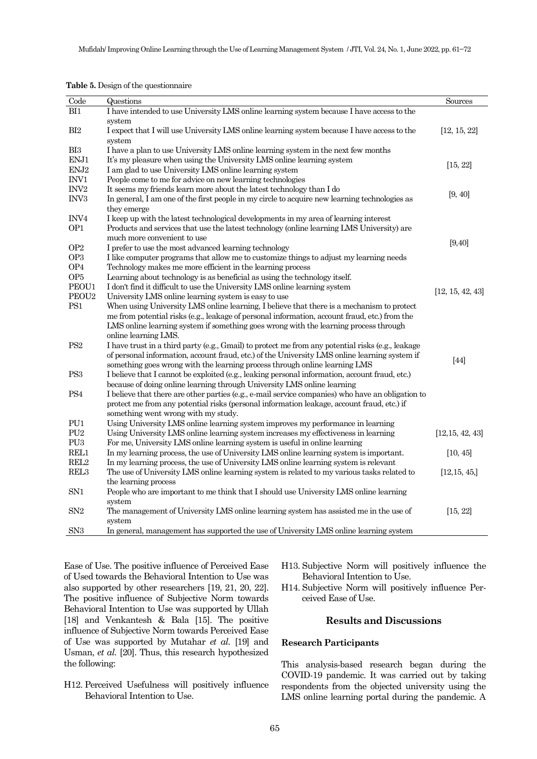| Code              | Questions                                                                                         | Sources          |
|-------------------|---------------------------------------------------------------------------------------------------|------------------|
| BI1               | I have intended to use University LMS online learning system because I have access to the         |                  |
|                   | system                                                                                            |                  |
| BI2               | I expect that I will use University LMS online learning system because I have access to the       | [12, 15, 22]     |
|                   | system                                                                                            |                  |
| BI3               | I have a plan to use University LMS online learning system in the next few months                 |                  |
| ENJ1              | It's my pleasure when using the University LMS online learning system                             |                  |
| ENJ2              | I am glad to use University LMS online learning system                                            | [15, 22]         |
| INV1              | People come to me for advice on new learning technologies                                         |                  |
| $\rm{INV}2$       | It seems my friends learn more about the latest technology than I do                              |                  |
| $\rm{INV3}$       | In general, I am one of the first people in my circle to acquire new learning technologies as     | [9, 40]          |
|                   | they emerge                                                                                       |                  |
| INV <sub>4</sub>  | I keep up with the latest technological developments in my area of learning interest              |                  |
| OP1               | Products and services that use the latest technology (online learning LMS University) are         |                  |
|                   | much more convenient to use                                                                       |                  |
| OP <sub>2</sub>   | I prefer to use the most advanced learning technology                                             | [9, 40]          |
| OP <sub>3</sub>   | I like computer programs that allow me to customize things to adjust my learning needs            |                  |
| OP <sub>4</sub>   | Technology makes me more efficient in the learning process                                        |                  |
| OP <sub>5</sub>   | Learning about technology is as beneficial as using the technology itself.                        |                  |
| PEOU1             | I don't find it difficult to use the University LMS online learning system                        |                  |
| PEOU <sub>2</sub> | University LMS online learning system is easy to use                                              | [12, 15, 42, 43] |
| PS1               | When using University LMS online learning, I believe that there is a mechanism to protect         |                  |
|                   | me from potential risks (e.g., leakage of personal information, account fraud, etc.) from the     |                  |
|                   | LMS online learning system if something goes wrong with the learning process through              |                  |
|                   | online learning LMS.                                                                              |                  |
| PS <sub>2</sub>   | I have trust in a third party (e.g., Gmail) to protect me from any potential risks (e.g., leakage |                  |
|                   | of personal information, account fraud, etc.) of the University LMS online learning system if     |                  |
|                   | something goes wrong with the learning process through online learning LMS                        | $[44]$           |
| PS <sub>3</sub>   | I believe that I cannot be exploited (e.g., leaking personal information, account fraud, etc.)    |                  |
|                   | because of doing online learning through University LMS online learning                           |                  |
| PS4               | I believe that there are other parties (e.g., e-mail service companies) who have an obligation to |                  |
|                   | protect me from any potential risks (personal information leakage, account fraud, etc.) if        |                  |
|                   | something went wrong with my study.                                                               |                  |
| PU <sub>1</sub>   | Using University LMS online learning system improves my performance in learning                   |                  |
| PU <sub>2</sub>   | Using University LMS online learning system increases my effectiveness in learning                | [12, 15, 42, 43] |
| PU <sub>3</sub>   | For me, University LMS online learning system is useful in online learning                        |                  |
| REL1              | In my learning process, the use of University LMS online learning system is important.            | [10, 45]         |
| REL2              | In my learning process, the use of University LMS online learning system is relevant              |                  |
| REL3              | The use of University LMS online learning system is related to my various tasks related to        | [12, 15, 45]     |
|                   | the learning process                                                                              |                  |
| SN <sub>1</sub>   | People who are important to me think that I should use University LMS online learning             |                  |
|                   | system                                                                                            |                  |
| SN <sub>2</sub>   | The management of University LMS online learning system has assisted me in the use of             | [15, 22]         |
|                   | system                                                                                            |                  |
| SN <sub>3</sub>   | In general, management has supported the use of University LMS online learning system             |                  |

**Table 5.** Design of the questionnaire

Ease of Use. The positive influence of Perceived Ease of Used towards the Behavioral Intention to Use was also supported by other researchers [\[19,](#page-9-20) [21,](#page-9-18) [20,](#page-9-17) [22\]](#page-9-19). The positive influence of Subjective Norm towards Behavioral Intention to Use was supported by Ullah [\[18\]](#page-9-16) and Venkantesh & Bala [\[15\]](#page-8-13). The positive influence of Subjective Norm towards Perceived Ease of Use was supported by Mutahar *et al.* [\[19\]](#page-9-20) and Usman, *et al.* [\[20\]](#page-9-17). Thus, this research hypothesized the following:

H12. Perceived Usefulness will positively influence Behavioral Intention to Use.

- H13. Subjective Norm will positively influence the Behavioral Intention to Use.
- H14. Subjective Norm will positively influence Perceived Ease of Use.

#### **Results and Discussions**

## **Research Participants**

This analysis-based research began during the COVID-19 pandemic. It was carried out by taking respondents from the objected university using the LMS online learning portal during the pandemic. A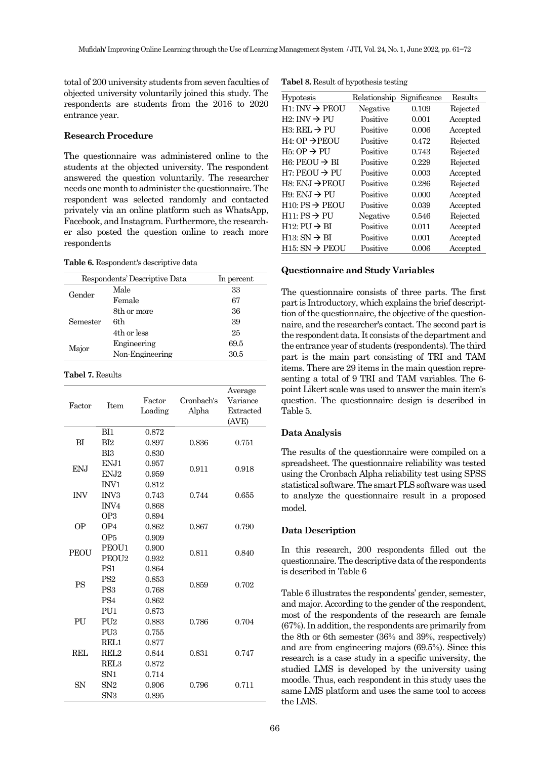total of200 university students from seven faculties of objected university voluntarily joined this study. The respondents are students from the 2016 to 2020 entrance year.

#### **Research Procedure**

The questionnaire was administered online to the students at the objected university. The respondent answered the question voluntarily. The researcher needs one month to administer the questionnaire. The respondent was selected randomly and contacted privately via an online platform such as WhatsApp, Facebook, and Instagram. Furthermore, the researcher also posted the question online to reach more respondents

**Table 6.** Respondent's descriptive data

| Respondents' Descriptive Data | In percent      |      |
|-------------------------------|-----------------|------|
| Gender                        | Male            | 33   |
|                               | Female          | 67   |
| Semester                      | 8th or more     | 36   |
|                               | 6th             | 39   |
|                               | 4th or less     | 25   |
| Major                         | Engineering     | 69.5 |
|                               | Non-Engineering | 30.5 |

#### **Tabel 7.** Results

|                 |                   |         |            | Average   |
|-----------------|-------------------|---------|------------|-----------|
| Factor          | <b>Item</b>       | Factor  | Cronbach's | Variance  |
|                 |                   | Loading | Alpha      | Extracted |
|                 |                   |         |            | (AVE)     |
|                 | BI1               | 0.872   |            |           |
| BI              | BI2               | 0.897   | 0.836      | 0.751     |
|                 | BI3               | 0.830   |            |           |
| EN <sub>J</sub> | EN <sub>J1</sub>  | 0.957   | 0.911      | 0.918     |
|                 | EN <sub>J2</sub>  | 0.959   |            |           |
|                 | INV1              | 0.812   |            |           |
| <b>INV</b>      | INV <sub>3</sub>  | 0.743   | 0.744      | 0.655     |
|                 | INV <sub>4</sub>  | 0.868   |            |           |
|                 | OP <sub>3</sub>   | 0.894   |            |           |
| <b>OP</b>       | OP4               | 0.862   | 0.867      | 0.790     |
|                 | OP <sub>5</sub>   | 0.909   |            |           |
| <b>PEOU</b>     | PEOU1             | 0.900   | 0.811      | 0.840     |
|                 | PEOU <sub>2</sub> | 0.932   |            |           |
|                 | PS <sub>1</sub>   | 0.864   |            |           |
| <b>PS</b>       | PS <sub>2</sub>   | 0.853   |            | 0.702     |
|                 | PS <sub>3</sub>   | 0.768   | 0.859      |           |
|                 | PS <sub>4</sub>   | 0.862   |            |           |
|                 | PU <sub>1</sub>   | 0.873   |            |           |
| PU              | PU <sub>2</sub>   | 0.883   | 0.786      | 0.704     |
|                 | PU <sub>3</sub>   | 0.755   |            |           |
| REL             | REL1              | 0.877   |            |           |
|                 | REL <sub>2</sub>  | 0.844   | 0.831      | 0.747     |
|                 | REL <sub>3</sub>  | 0.872   |            |           |
| SN              | SN1               | 0.714   |            |           |
|                 | SN2               | 0.906   | 0.796      | 0.711     |
|                 | SN3               | 0.895   |            |           |

**Tabel 8.** Result of hypothesis testing

| <b>Hypotesis</b>            | Relationship | Significance | Results  |
|-----------------------------|--------------|--------------|----------|
| $H1:INV \rightarrow PEOU$   | Negative     | 0.109        | Rejected |
| $H2: INV \rightarrow PU$    | Positive     | 0.001        | Accepted |
| $H3: REL \rightarrow PU$    | Positive     | 0.006        | Accepted |
| $H4:$ OP $\rightarrow$ PEOU | Positive     | 0.472        | Rejected |
| $H5:OP \rightarrow PU$      | Positive     | 0.743        | Rejected |
| $H6:$ PEOU $\rightarrow$ BI | Positive     | 0.229        | Rejected |
| $H7:$ PEOU $\rightarrow$ PU | Positive     | 0.003        | Accepted |
| H8: ENJ $\rightarrow$ PEOU  | Positive     | 0.286        | Rejected |
| $H9: ENJ \rightarrow PU$    | Positive     | 0.000        | Accepted |
| $H10: PS \rightarrow PEOU$  | Positive     | 0.039        | Accepted |
| $H11: PS \rightarrow PU$    | Negative     | 0.546        | Rejected |
| $H12: PU \rightarrow BI$    | Positive     | 0.011        | Accepted |
| $H13: SN \rightarrow BI$    | Positive     | 0.001        | Accepted |
| $H15: SN \rightarrow PEOU$  | Positive     | 0.006        | Accepted |

## **Questionnaire and Study Variables**

The questionnaire consists of three parts. The first part is Introductory, which explains the brief descripttion of the questionnaire, the objective of the questionnaire, and the researcher's contact. The second part is the respondent data. It consists of the department and the entrance year of students (respondents). The third part is the main part consisting of TRI and TAM items. There are 29 items in the main question representing a total of 9 TRI and TAM variables. The 6 point Likert scale was used to answer the main item's question. The questionnaire design is described in Table 5.

## **Data Analysis**

The results of the questionnaire were compiled on a spreadsheet. The questionnaire reliability was tested using the Cronbach Alpha reliability test using SPSS statistical software. The smart PLS software was used to analyze the questionnaire result in a proposed model.

## **Data Description**

In this research, 200 respondents filled out the questionnaire. The descriptive data of the respondents is described in Table 6

Table 6 illustrates the respondents' gender, semester, and major. According to the gender of the respondent, most of the respondents of the research are female (67%). In addition, the respondents are primarily from the 8th or 6th semester (36% and 39%, respectively) and are from engineering majors (69.5%). Since this research is a case study in a specific university, the studied LMS is developed by the university using moodle. Thus, each respondent in this study uses the same LMS platform and uses the same tool to access the LMS.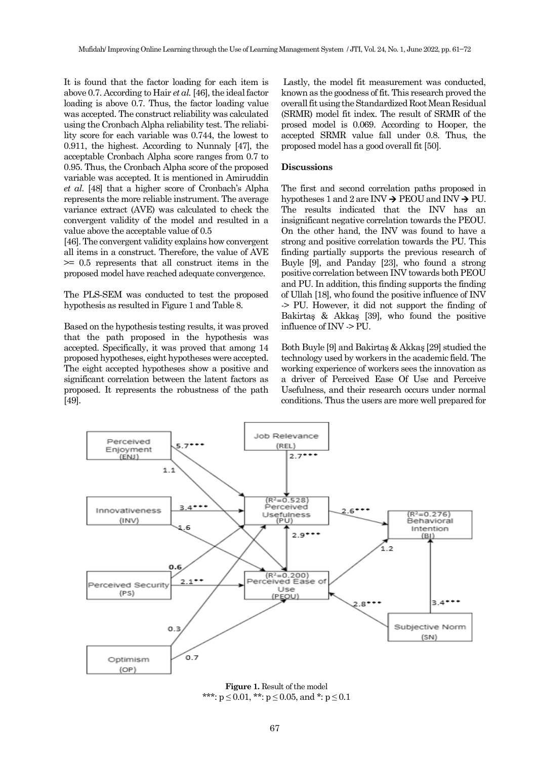It is found that the factor loading for each item is above 0.7. According to Hair *et al.*[\[46\]](#page-10-5), the ideal factor loading is above 0.7. Thus, the factor loading value was accepted. The construct reliability was calculated using the Cronbach Alpha reliability test. The reliability score for each variable was 0.744, the lowest to 0.911, the highest. According to Nunnaly [\[47\]](#page-10-6), the acceptable Cronbach Alpha score ranges from 0.7 to 0.95. Thus, the Cronbach Alpha score of the proposed variable was accepted. It is mentioned in Amiruddin *et al.* [\[48\]](#page-10-7) that a higher score of Cronbach's Alpha represents the more reliable instrument. The average variance extract (AVE) was calculated to check the convergent validity of the model and resulted in a value above the acceptable value of 0.5

[46]. The convergent validity explains how convergent all items in a construct. Therefore, the value of AVE >= 0.5 represents that all construct items in the proposed model have reached adequate convergence.

The PLS-SEM was conducted to test the proposed hypothesis as resulted in Figure 1 and Table 8.

Based on the hypothesis testing results, it was proved that the path proposed in the hypothesis was accepted. Specifically, it was proved that among 14 proposed hypotheses, eight hypotheses were accepted. The eight accepted hypotheses show a positive and significant correlation between the latent factors as proposed. It represents the robustness of the path [\[49\]](#page-10-8).

Lastly, the model fit measurement was conducted, known as the goodness of fit. This research proved the overall fit using the Standardized Root Mean Residual (SRMR) model fit index. The result of SRMR of the prosed model is 0.069. According to Hooper, the accepted SRMR value fall under 0.8. Thus, the proposed model has a good overall fit [\[50\]](#page-10-9).

#### **Discussions**

The first and second correlation paths proposed in hypotheses 1 and 2 are INV  $\rightarrow$  PEOU and INV  $\rightarrow$  PU. The results indicated that the INV has an insignificant negative correlation towards the PEOU. On the other hand, the INV was found to have a strong and positive correlation towards the PU. This finding partially supports the previous research of Buyle [\[9\]](#page-8-7), and Panday [\[23\]](#page-9-14), who found a strong positive correlation between INV towards both PEOU and PU. In addition, this finding supports the finding of Ullah [\[18\]](#page-9-16), who found the positive influence of INV -> PU. However, it did not support the finding of Bakirtaş & Akkaş [[39\]](#page-9-15), who found the positive influence of INV -> PU.

Both Buyle [\[9](#page-8-7)] and Bakirtaş & Akkaş [[29\]](#page-9-5) studied the technology used by workers in the academic field. The working experience of workers sees the innovation as a driver of Perceived Ease Of Use and Perceive Usefulness, and their research occurs under normal conditions. Thus the users are more well prepared for



Figure 1. Result of the model \*\*\*:  $p \le 0.01$ , \*\*:  $p \le 0.05$ , and \*:  $p \le 0.1$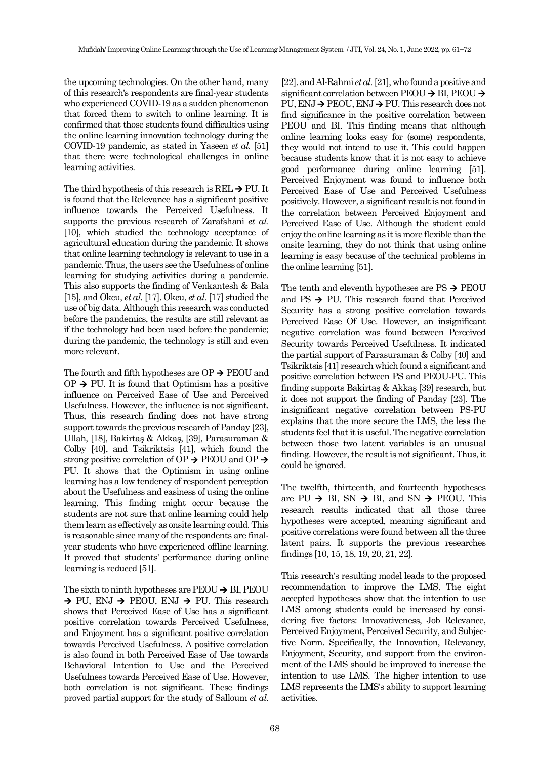the upcoming technologies. On the other hand, many of this research's respondents are final-year students who experienced COVID-19 as a sudden phenomenon that forced them to switch to online learning. It is confirmed that those students found difficulties using the online learning innovation technology during the COVID-19 pandemic, as stated in Yaseen *et al.* [\[51\]](#page-10-10) that there were technological challenges in online learning activities.

The third hypothesis of this research is  $REL \rightarrow PU$ . It is found that the Relevance has a significant positive influence towards the Perceived Usefulness. It supports the previous research of Zarafshani *et al.* [\[10\]](#page-8-8), which studied the technology acceptance of agricultural education during the pandemic. It shows that online learning technology is relevant to use in a pandemic. Thus, the users see the Usefulness of online learning for studying activities during a pandemic. This also supports the finding of Venkantesh & Bala [\[15\]](#page-8-13), and Okcu, *et al.* [\[17\]](#page-8-15). Okcu, *et al.* [\[17\]](#page-8-15) studied the use of big data. Although this research was conducted before the pandemics, the results are still relevant as if the technology had been used before the pandemic; during the pandemic, the technology is still and even more relevant.

The fourth and fifth hypotheses are  $OP \rightarrow PEOU$  and  $OP \rightarrow PU$ . It is found that Optimism has a positive influence on Perceived Ease of Use and Perceived Usefulness. However, the influence is not significant. Thus, this research finding does not have strong support towards the previous research of Panday [\[23\]](#page-9-14), Ullah, [\[18](#page-9-16)], Bakirtaş & Akkaş, [[39\]](#page-9-15), Parasuraman & Colby [\[40\]](#page-9-22), and Tsikriktsis [\[41\]](#page-10-0), which found the strong positive correlation of OP  $\rightarrow$  PEOU and OP  $\rightarrow$ PU. It shows that the Optimism in using online learning has a low tendency of respondent perception about the Usefulness and easiness of using the online learning. This finding might occur because the students are not sure that online learning could help them learn as effectively as onsite learning could. This is reasonable since many of the respondents are finalyear students who have experienced offline learning. It proved that students' performance during online learning is reduced [\[51\]](#page-10-10).

The sixth to ninth hypotheses are  $PEOU \rightarrow BL$  PEOU  $\rightarrow$  PU, ENJ  $\rightarrow$  PEOU, ENJ  $\rightarrow$  PU. This research shows that Perceived Ease of Use has a significant positive correlation towards Perceived Usefulness, and Enjoyment has a significant positive correlation towards Perceived Usefulness. A positive correlation is also found in both Perceived Ease of Use towards Behavioral Intention to Use and the Perceived Usefulness towards Perceived Ease of Use. However, both correlation is not significant. These findings proved partial support for the study of Salloum *et al.* [\[22\]](#page-9-19). and Al-Rahmi *et al.*[\[21\]](#page-9-18), who found a positive and significant correlation between PEOU → BI, PEOU → PU, ENJ → PEOU, ENJ → PU. This research does not find significance in the positive correlation between PEOU and BI. This finding means that although online learning looks easy for (some) respondents, they would not intend to use it. This could happen because students know that it is not easy to achieve good performance during online learning [\[51\]](#page-10-10). Perceived Enjoyment was found to influence both Perceived Ease of Use and Perceived Usefulness positively. However, a significant result is not found in the correlation between Perceived Enjoyment and Perceived Ease of Use. Although the student could enjoy the online learning as it is more flexible than the onsite learning, they do not think that using online learning is easy because of the technical problems in the online learning [51].

The tenth and eleventh hypotheses are  $PS \rightarrow PEOU$ and PS  $\rightarrow$  PU. This research found that Perceived Security has a strong positive correlation towards Perceived Ease Of Use. However, an insignificant negative correlation was found between Perceived Security towards Perceived Usefulness. It indicated the partial support of Parasuraman & Colby [\[40\]](#page-9-22) and Tsikriktsis [\[41\]](#page-10-0) research which found a significant and positive correlation between PS and PEOU-PU. This finding supports Bakirtaş & Akkaş [[39\]](#page-9-15) research, but it does not support the finding of Panday [\[23\]](#page-9-14). The insignificant negative correlation between PS-PU explains that the more secure the LMS, the less the students feel that it is useful. The negative correlation between those two latent variables is an unusual finding. However, the result is not significant. Thus, it could be ignored.

The twelfth, thirteenth, and fourteenth hypotheses are PU  $\rightarrow$  BI, SN  $\rightarrow$  BI, and SN  $\rightarrow$  PEOU. This research results indicated that all those three hypotheses were accepted, meaning significant and positive correlations were found between all the three latent pairs. It supports the previous researches findings [\[10,](#page-8-8)[15,](#page-8-13) [18,](#page-9-16)[19,](#page-9-20)[20,](#page-9-17)[21,](#page-9-18) [22\]](#page-9-19).

This research's resulting model leads to the proposed recommendation to improve the LMS. The eight accepted hypotheses show that the intention to use LMS among students could be increased by considering five factors: Innovativeness, Job Relevance, Perceived Enjoyment, Perceived Security, and Subjective Norm. Specifically, the Innovation, Relevancy, Enjoyment, Security, and support from the environment of the LMS should be improved to increase the intention to use LMS. The higher intention to use LMS represents the LMS's ability to support learning activities.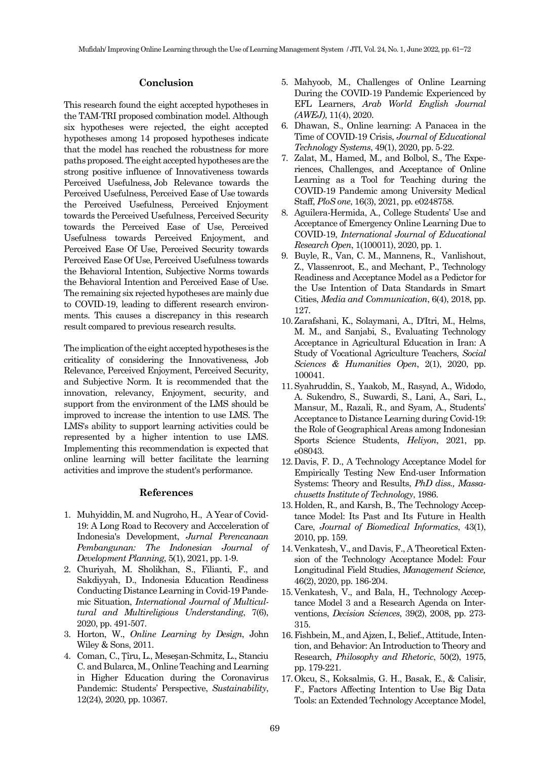#### **Conclusion**

This research found the eight accepted hypotheses in the TAM-TRI proposed combination model. Although six hypotheses were rejected, the eight accepted hypotheses among 14 proposed hypotheses indicate that the model has reached the robustness for more paths proposed. The eight accepted hypotheses are the strong positive influence of Innovativeness towards Perceived Usefulness,Job Relevance towards the Perceived Usefulness, Perceived Ease of Use towards the Perceived Usefulness, Perceived Enjoyment towards the Perceived Usefulness, Perceived Security towards the Perceived Ease of Use, Perceived Usefulness towards Perceived Enjoyment, and Perceived Ease Of Use, Perceived Security towards Perceived Ease Of Use, Perceived Usefulness towards the Behavioral Intention, Subjective Norms towards the Behavioral Intention and Perceived Ease of Use. The remaining six rejected hypotheses are mainly due to COVID-19, leading to different research environments. This causes a discrepancy in this research result compared to previous research results.

The implication of the eight accepted hypotheses is the criticality of considering the Innovativeness, Job Relevance, Perceived Enjoyment, Perceived Security, and Subjective Norm. It is recommended that the innovation, relevancy, Enjoyment, security, and support from the environment of the LMS should be improved to increase the intention to use LMS. The LMS's ability to support learning activities could be represented by a higher intention to use LMS. Implementing this recommendation is expected that online learning will better facilitate the learning activities and improve the student's performance.

#### **References**

- 1. Muhyiddin, M. and Nugroho, H., A Year of Covid-19: A Long Road to Recovery and Accceleration of Indonesia's Development, *Jurnal Perencanaan Pembangunan: The Indonesian Journal of Development Planning*, 5(1), 2021, pp. 1-9.
- <span id="page-8-0"></span>2. Churiyah, M. Sholikhan, S., Filianti, F., and Sakdiyyah, D., Indonesia Education Readiness Conducting Distance Learning in Covid-19 Pandemic Situation, *International Journal of Multicultural and Multireligious Understanding*, 7(6), 2020, pp. 491-507.
- <span id="page-8-1"></span>3. Horton, W., *Online Learning by Design*, John Wiley & Sons, 2011.
- <span id="page-8-2"></span>4. Coman, C., Țîru, L., Meseșan-Schmitz, L., Stanciu C. and Bularca, M., Online Teaching and Learning in Higher Education during the Coronavirus Pandemic: Students' Perspective, *Sustainability*, 12(24), 2020, pp. 10367.
- <span id="page-8-3"></span>5. Mahyoob, M., Challenges of Online Learning During the COVID-19 Pandemic Experienced by EFL Learners, *Arab World English Journal (AWEJ)*, 11(4),2020.
- <span id="page-8-4"></span>6. Dhawan, S., Online learning: A Panacea in the Time of COVID-19 Crisis, *Journal of Educational Technology Systems*, 49(1), 2020, pp. 5-22.
- <span id="page-8-5"></span>7. Zalat, M., Hamed, M., and Bolbol, S., The Experiences, Challenges, and Acceptance of Online Learning as a Tool for Teaching during the COVID-19 Pandemic among University Medical Staff, *PloS one*, 16(3), 2021, pp. e0248758.
- <span id="page-8-6"></span>8. Aguilera-Hermida, A., College Students' Use and Acceptance of Emergency Online Learning Due to COVID-19, *International Journal of Educational Research Open*, 1(100011), 2020, pp. 1.
- <span id="page-8-7"></span>9. Buyle, R., Van, C. M., Mannens, R., Vanlishout, Z., Vlassenroot, E., and Mechant, P., Technology Readiness and Acceptance Model as a Pedictor for the Use Intention of Data Standards in Smart Cities, *Media and Communication*, 6(4), 2018, pp. 127.
- <span id="page-8-8"></span>10.Zarafshani, K., Solaymani, A., D'Itri, M., Helms, M. M., and Sanjabi, S., Evaluating Technology Acceptance in Agricultural Education in Iran: A Study of Vocational Agriculture Teachers, *Social Sciences & Humanities Open*, 2(1), 2020, pp. 100041.
- <span id="page-8-9"></span>11.Syahruddin, S., Yaakob, M., Rasyad, A., Widodo, A. Sukendro, S., Suwardi, S., Lani, A., Sari, L., Mansur, M., Razali, R., and Syam, A., Students' Acceptance to Distance Learning during Covid-19: the Role of Geographical Areas among Indonesian Sports Science Students, *Heliyon*, 2021, pp. e08043.
- <span id="page-8-10"></span>12.Davis, F. D., A Technology Acceptance Model for Empirically Testing New End-user Information Systems: Theory and Results, *PhD diss., Massachusetts Institute of Technology*, 1986.
- <span id="page-8-11"></span>13.Holden, R., and Karsh, B., The Technology Acceptance Model: Its Past and Its Future in Health Care, *Journal of Biomedical Informatics*, 43(1), 2010, pp. 159.
- <span id="page-8-12"></span>14.Venkatesh, V., and Davis, F., A Theoretical Extension of the Technology Acceptance Model: Four Longitudinal Field Studies, *Management Science,* 46(2), 2020, pp. 186-204.
- <span id="page-8-13"></span>15.Venkatesh, V., and Bala, H., Technology Acceptance Model 3 and a Research Agenda on Interventions, *Decision Sciences*, 39(2), 2008, pp. 273- 315.
- <span id="page-8-14"></span>16.Fishbein, M., and Ajzen, I., Belief., Attitude, Intention, and Behavior: An Introduction to Theory and Research, *Philosophy and Rhetoric*, 50(2), 1975, pp. 179-221.
- <span id="page-8-15"></span>17.Okcu, S., Koksalmis, G. H., Basak, E., & Calisir, F., Factors Affecting Intention to Use Big Data Tools: an Extended Technology Acceptance Model,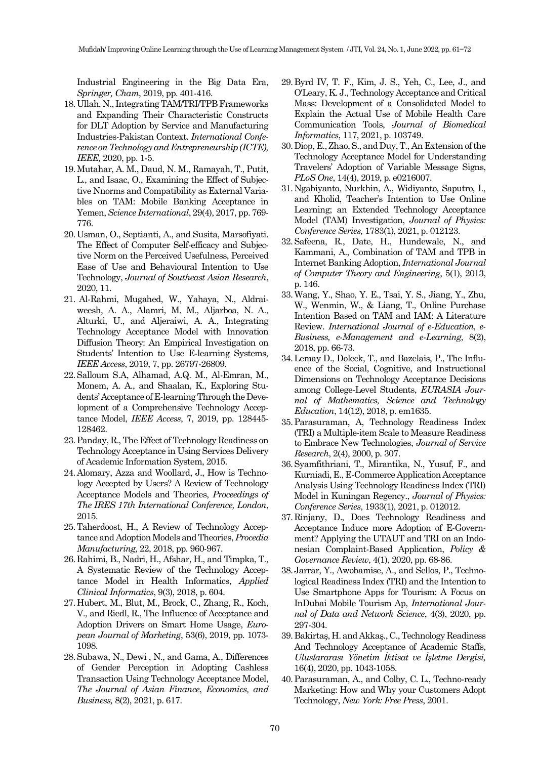Industrial Engineering in the Big Data Era, *Springer, Cham*, 2019, pp. 401-416.

- <span id="page-9-16"></span>18.Ullah, N., Integrating TAM/TRI/TPB Frameworks and Expanding Their Characteristic Constructs for DLT Adoption by Service and Manufacturing Industries-Pakistan Context. *International Conference on Technology and Entrepreneurship (ICTE), IEEE,*2020, pp. 1-5.
- <span id="page-9-20"></span>19.Mutahar, A. M., Daud, N. M., Ramayah, T., Putit, L., and Isaac, O., Examining the Effect of Subjective Nnorms and Compatibility as External Variables on TAM: Mobile Banking Acceptance in Yemen, *Science International*, 29(4), 2017, pp. 769- 776.
- <span id="page-9-17"></span>20.Usman, O., Septianti, A., and Susita, Marsofiyati. The Effect of Computer Self-efficacy and Subjective Norm on the Perceived Usefulness, Perceived Ease of Use and Behavioural Intention to Use Technology, *Journal of Southeast Asian Research*, 2020, 11.
- <span id="page-9-18"></span>21. Al-Rahmi, Mugahed, W., Yahaya, N., Aldraiweesh, A. A., Alamri, M. M., Aljarboa, N. A., Alturki, U., and Aljeraiwi, A. A., Integrating Technology Acceptance Model with Innovation Diffusion Theory: An Empirical Investigation on Students' Intention to Use E-learning Systems, *IEEE Access*, 2019, 7, pp. 26797-26809.
- <span id="page-9-19"></span>22.Salloum S.A, Alhamad, A.Q. M., Al-Emran, M., Monem, A. A., and Shaalan, K., Exploring Students' Acceptance of E-learning Through the Development of a Comprehensive Technology Acceptance Model, *IEEE Access*, 7, 2019, pp. 128445- 128462.
- <span id="page-9-14"></span>23.Panday, R., The Effect of Technology Readiness on Technology Acceptance in Using Services Delivery of Academic Information System, 2015.
- <span id="page-9-0"></span>24.Alomary, Azza and Woollard, J., How is Technology Accepted by Users? A Review of Technology Acceptance Models and Theories, *Proceedings of The IRES 17th International Conference, London*, 2015.
- <span id="page-9-1"></span>25.Taherdoost, H., A Review of Technology Acceptance and Adoption Models and Theories, *Procedia Manufacturing,*22, 2018, pp. 960-967.
- <span id="page-9-2"></span>26.Rahimi, B., Nadri, H., Afshar, H., and Timpka, T., A Systematic Review of the Technology Acceptance Model in Health Informatics, *Applied Clinical Informatics*, 9(3), 2018, p. 604.
- <span id="page-9-3"></span>27.Hubert, M., Blut, M., Brock, C., Zhang, R., Koch, V., and Riedl, R., The Influence of Acceptance and Adoption Drivers on Smart Home Usage, *European Journal of Marketing*, 53(6), 2019, pp. 1073- 1098.
- <span id="page-9-4"></span>28.Subawa, N., Dewi , N., and Gama, A., Differences of Gender Perception in Adopting Cashless Transaction Using Technology Acceptance Model, *The Journal of Asian Finance*, *Economics, and Business,*8(2), 2021, p. 617.
- <span id="page-9-5"></span>29.Byrd IV, T. F., Kim, J. S., Yeh, C., Lee, J., and O'Leary, K. J., Technology Acceptance and Critical Mass: Development of a Consolidated Model to Explain the Actual Use of Mobile Health Care Communication Tools, *Journal of Biomedical Informatics*, 117, 2021, p. 103749.
- <span id="page-9-6"></span>30.Diop, E., Zhao, S., and Duy, T., An Extension of the Technology Acceptance Model for Understanding Travelers' Adoption of Variable Message Signs, *PLoS One*, 14(4), 2019, p. e0216007.
- <span id="page-9-7"></span>31.Ngabiyanto, Nurkhin, A., Widiyanto, Saputro, I., and Kholid, Teacher's Intention to Use Online Learning; an Extended Technology Acceptance Model (TAM) Investigation, *Journal of Physics: Conference Series,*1783(1), 2021, p. 012123.
- <span id="page-9-8"></span>32.Safeena, R., Date, H., Hundewale, N., and Kammani, A., Combination of TAM and TPB in Internet Banking Adoption, *International Journal of Computer Theory and Engineering*, 5(1), 2013, p. 146.
- <span id="page-9-9"></span>33.Wang, Y., Shao, Y. E., Tsai, Y. S., Jiang, Y., Zhu, W., Wenmin, W., & Liang, T., Online Purchase Intention Based on TAM and IAM: A Literature Review. *International Journal of e-Education, e-Business, e-Management and e-Learning*, 8(2), 2018, pp. 66-73.
- <span id="page-9-10"></span>34.Lemay D., Doleck, T., and Bazelais, P., The Influence of the Social, Cognitive, and Instructional Dimensions on Technology Acceptance Decisions among College-Level Students, *EURASIA Journal of Mathematics, Science and Technology Education*, 14(12), 2018, p. em1635.
- <span id="page-9-21"></span>35.Parasuraman, A, Technology Readiness Index (TRI) a Multiple-item Scale to Measure Readiness to Embrace New Technologies, *Journal of Service Research*, 2(4), 2000, p. 307.
- <span id="page-9-11"></span>36.Syamfithriani, T., Mirantika, N., Yusuf, F., and Kurniadi, E., E-Commerce Application Acceptance Analysis Using Technology Readiness Index (TRI) Model in Kuningan Regency., *Journal of Physics: Conference Series*, 1933(1), 2021, p. 012012.
- <span id="page-9-12"></span>37.Rinjany, D., Does Technology Readiness and Acceptance Induce more Adoption of E-Government? Applying the UTAUT and TRI on an Indonesian Complaint-Based Application, *Policy & Governance Review*, 4(1), 2020, pp. 68-86.
- <span id="page-9-13"></span>38.Jarrar, Y., Awobamise, A., and Sellos, P., Technological Readiness Index (TRI) and the Intention to Use Smartphone Apps for Tourism: A Focus on InDubai Mobile Tourism Ap, *International Journal of Data and Network Science*, 4(3), 2020, pp. 297-304.
- <span id="page-9-15"></span>39.Bakirtaş, H. and Akkaş., C., Technology Readiness And Technology Acceptance of Academic Staffs, *Uluslararası Yönetim İktisat ve İşletme Dergisi,* 16(4), 2020, pp. 1043-1058.
- <span id="page-9-22"></span>40.Parasuraman, A., and Colby, C. L., Techno-ready Marketing: How and Why your Customers Adopt Technology, *New York: Free Press*, 2001.